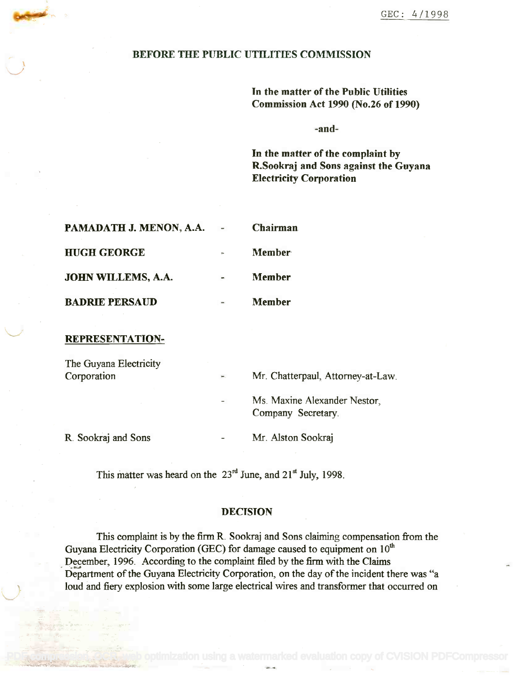## BEFORE THE PUBLIC UTILITIES COMMISSION

In the matter of the Public Utilities **Tn** the matter of the Public Utilities Commission Act 1990 (No.26 of 1990) Commission Act 1990 (No.26 of 1990)

-and-

In the matter of the complaint by In the matter of the complaint by R.Sookraj and Sons against the Guyana R.Sookraj and Sons against the Guyana Electricity Corporation Electricity Corporation

| <b>PAMADATH J. MENON, A.A.</b> | <b>Chairman</b> |
|--------------------------------|-----------------|
| <b>HUGH GEORGE</b>             | <b>Member</b>   |
| <b>JOHN WILLEMS, A.A.</b>      | <b>Member</b>   |
| <b>BADRIE PERSAUD</b>          | <b>Member</b>   |

## REPRESENTATION-

\  $\sqrt{2}$ 

| The Guyana Electricity<br>Corporation | $\mathfrak{f}_{\mathfrak{m}\mathfrak{m}}$ . | Mr. Chatterpaul, Attorney-at-Law.                  |  |  |
|---------------------------------------|---------------------------------------------|----------------------------------------------------|--|--|
|                                       | $\sim$                                      | Ms. Maxine Alexander Nestor,<br>Company Secretary. |  |  |
| R. Sookraj and Sons                   | -                                           | Mr. Alston Sookraj                                 |  |  |

This matter was heard on the  $23<sup>rd</sup>$  June, and  $21<sup>st</sup>$  July, 1998.

## DECISION

This complaint is by the firm R. Sookraj and Sons claiming compensation from the This complaint is by the firm R. Sookraj and Sons claiming compensation from the Guyana Electricity Corporation (GEC) for damage caused to equipment on  $10<sup>th</sup>$  $D$ ecember, 1996. According to the complaint filed by the firm with the Claims Department of the Guyana Electricity Corporation, on the day of the incident there was "a Department of the Guyana Electricity Corporation, on the day of the incident there was "a loud and fiery explosion with some large electrical wires and transformer that occurred on loud and fiery explosion with some large electrical wires and transformer that occurred on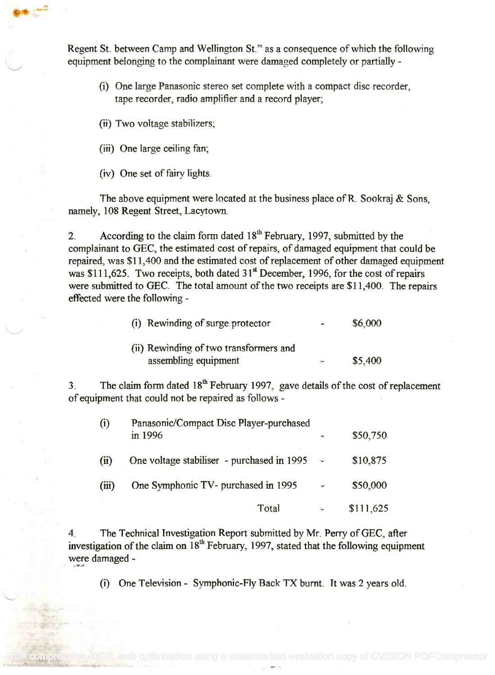Regent St. between Camp and Wellington St." as a consequence of which the following Regent St. between Camp and Wellington St." as a consequence of which the following equipment belonging to the complainant were damaged completely or partially - equipment belonging to the complainant were damaged completely or partially -

- (i) One large Panasonic stereo set complete with a compact disc recorder, (i) One large Panasonic stereo set complete with a compact disc recorder, tape recorder, radio amplifier and a record player; tape recorder, radio amplifier and a record player;
- (ii) Two voltage stabilizers;
- (iii) One large ceiling fan;

(iv) One set of fairy lights.

The above equipment were located at the business place of R. Sookraj & Sons, The above equipment were located at the business place ofR. Sookraj & Sons, namely, 108 Regent Street, Lacytown. namely, 108 Regent Street, Lacytown.

2. According to the claim form dated  $18<sup>th</sup>$  February, 1997, submitted by the complainant to GEC, the estimated cost of repairs, of damaged equipment that could be complainant to GEC, the estimated cost of repairs, of damaged equipment that could be repaired, was \$11,400 and the estimated cost of replacement of other damaged equipment repaired, was \$11,400 and the estimated cost of replacement of other damaged equipment was \$111,625. Two receipts, both dated  $31^{\text{st}}$  December, 1996, for the cost of repairs were submitted to GEC. The total amount of the two receipts are \$11,400. The repairs effected were the following - effected were the following -

| (i) Rewinding of surge protector       | $\overline{\phantom{a}}$ | \$6,000 |
|----------------------------------------|--------------------------|---------|
| (ii) Rewinding of two transformers and |                          |         |
| assembling equipment                   | $\leftarrow$             | \$5,400 |

3. The claim form dated  $18<sup>th</sup>$  February 1997, gave details of the cost of replacement of equipment that could not be repaired as follows - of equipment that could not be repaired as follows -

| (i)   | Panasonic/Compact Disc Player-purchased<br>in 1996 | ÷.            | \$50,750  |  |
|-------|----------------------------------------------------|---------------|-----------|--|
| (ii)  | One voltage stabiliser - purchased in 1995         | $\sim 10$     | \$10,875  |  |
| (iii) | One Symphonic TV- purchased in 1995                | $\rightarrow$ | \$50,000  |  |
|       | Total                                              |               | \$111,625 |  |

4. The Technical Investigation Report submitted by Mr. Perry of GEC, after 4. The Technical Investigation Report submitted by Mr. Perry ofGEC, after investigation of the claim on 18<sup>th</sup> February, 1997, stated that the following equipment were damaged -

(i) One Television - Symphonic-Fly Back TX burnt. It was 2 years old.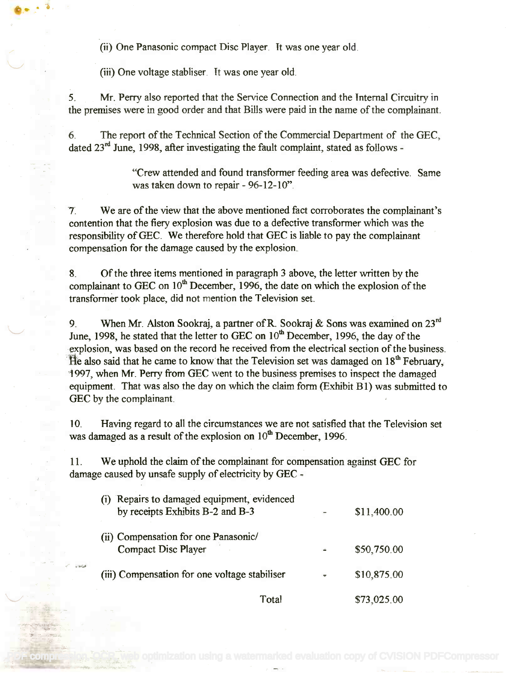(ii) One Panasonic compact Disc Player. It was one year old.

(iii) One voltage stabliser. It was one year old.

O

5. Mr. Perry also reported that the Service Connection and the Internal Circuitry in 5. Mr. Peny also reported that the Service Connection and the Internal Circuitry in the premises were in good order and that Bills were paid in the name of the complainant. the premises were in good order and that Bills were paid in the name of the complainant.

6. The report of the Technical Section of the Commercial Department of the GEC, 6. The report of the Technical Section of the Commercial Department of the GEC, dated 23<sup>rd</sup> June, 1998, after investigating the fault complaint, stated as follows -

> "Crew attended and found transformer feeding area was defective. Same "Crew attended and found transformer feeding area was defective. Same was taken down to repair - 96-12-10". was taken down to repair - 96-12-10".

7. We are of the view that the above mentioned fact corroborates the complainant's 7. We are of the view that the above mentioned fact corroborates the complainant's contention that the fiery explosion was due to a defective transformer which was the contention that the fiery explosion was due to a defective transformer which was the responsibility of GEC. We therefore hold that GEC is liable to pay the complainant compensation for the damage caused by the explosion. compensation for the damage caused by the explosion.

8. Of the three items mentioned in paragraph 3 above, the letter written by the 8. Of the three items mentioned in paragraph 3 above, the letter written by the complainant to GEC on  $10<sup>th</sup>$  December, 1996, the date on which the explosion of the transformer took place, did not mention the Television set. transformer took place, did not mention the Television set.

9. When Mr. Alston Sookraj, a partner of R. Sookraj & Sons was examined on  $23^{rd}$ June, 1998, he stated that the letter to GEC on  $10<sup>th</sup>$  December, 1996, the day of the explosion, was based on the record he received from the electrical section of the business. explosion, was based on the record he received from the electrical section of the business. Explosion, was based on the record he received from the electrical section of the business.<br>He also said that he came to know that the Television set was damaged on 18<sup>th</sup> February, 1997, when Mr. Perry from GEC went to the business premises to inspect the damaged 1997, when Mr. Peny from GEC went to the business premises to inspect the damaged equipment. That was also the day on which the claim form (Exhibit B1) was submitted to equipment. That was also the day on which the claim form (Exhibit B 1) was submitted to GEC by the complainant. GEC by the complainant.

10. Having regard to all the circumstances we are not satisfied that the Television set was damaged as a result of the explosion on  $10<sup>th</sup>$  December, 1996.

11. We uphold the claim of the complainant for compensation against GEC for 11. We uphold the claim of the complainant for compensation against GEC for damage caused by unsafe supply of electricity by GEC -

| (i) Repairs to damaged equipment, evidenced<br>by receipts Exhibits B-2 and B-3 |           | \$11,400.00 |  |
|---------------------------------------------------------------------------------|-----------|-------------|--|
| (ii) Compensation for one Panasonic/<br><b>Compact Disc Player</b>              |           | \$50,750.00 |  |
| (iii) Compensation for one voltage stabiliser                                   | $\bullet$ | \$10,875.00 |  |
| Total                                                                           |           | \$73,025.00 |  |